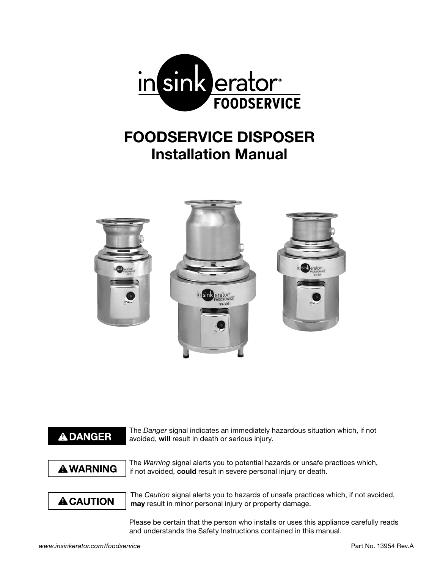

# **FOODSERVICE DISPOSER Installation Manual**



# **ADANGER**

The *Danger* signal indicates an immediately hazardous situation which, if not avoided, **will** result in death or serious injury.

# **A WARNING**

The *Warning* signal alerts you to potential hazards or unsafe practices which, if not avoided, **could** result in severe personal injury or death.

# **A CAUTION**

The *Caution* signal alerts you to hazards of unsafe practices which, if not avoided, **may** result in minor personal injury or property damage.

Please be certain that the person who installs or uses this appliance carefully reads and understands the Safety Instructions contained in this manual.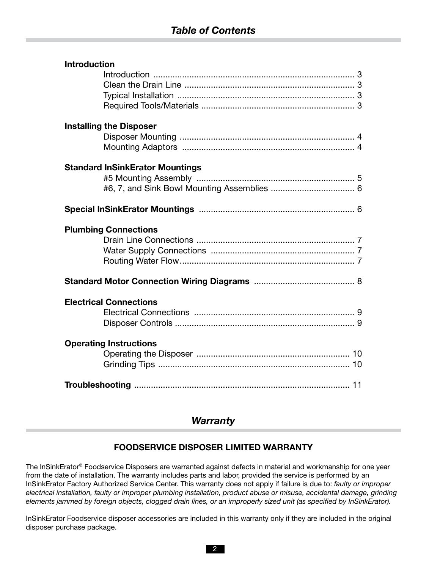| <b>Introduction</b>            |                                        |  |
|--------------------------------|----------------------------------------|--|
|                                |                                        |  |
|                                |                                        |  |
|                                |                                        |  |
|                                |                                        |  |
| <b>Installing the Disposer</b> |                                        |  |
|                                |                                        |  |
|                                |                                        |  |
|                                | <b>Standard InSinkErator Mountings</b> |  |
|                                |                                        |  |
|                                |                                        |  |
|                                |                                        |  |
| <b>Plumbing Connections</b>    |                                        |  |
|                                |                                        |  |
|                                |                                        |  |
|                                |                                        |  |
|                                |                                        |  |
|                                |                                        |  |
| <b>Electrical Connections</b>  |                                        |  |
|                                |                                        |  |
|                                |                                        |  |
| <b>Operating Instructions</b>  |                                        |  |
|                                |                                        |  |
|                                |                                        |  |

# *Warranty*

### **FOODSERVICE DISPOSER LIMITED WARRANTY**

The InSinkErator® Foodservice Disposers are warranted against defects in material and workmanship for one year from the date of installation. The warranty includes parts and labor, provided the service is performed by an InSinkErator Factory Authorized Service Center. This warranty does not apply if failure is due to: *faulty or improper electrical installation, faulty or improper plumbing installation, product abuse or misuse, accidental damage, grinding elements jammed by foreign objects, clogged drain lines, or an improperly sized unit (as specified by InSinkErator).*

InSinkErator Foodservice disposer accessories are included in this warranty only if they are included in the original disposer purchase package.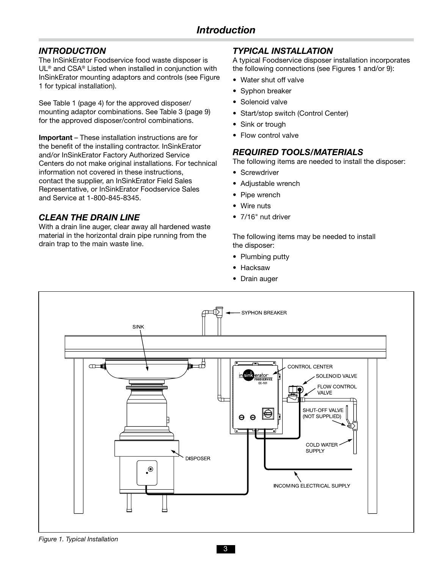### *INTRODUCTION*

The InSinkErator Foodservice food waste disposer is UL® and CSA® Listed when installed in conjunction with InSinkErator mounting adaptors and controls (see Figure 1 for typical installation).

See Table 1 (page 4) for the approved disposer/ mounting adaptor combinations. See Table 3 (page 9) for the approved disposer/control combinations.

**Important** – These installation instructions are for the benefit of the installing contractor. InSinkErator and/or InSinkErator Factory Authorized Service Centers do not make original installations. For technical information not covered in these instructions, contact the supplier, an InSinkErator Field Sales Representative, or InSinkErator Foodservice Sales and Service at 1-800-845-8345.

### *CLEAN THE DRAIN LINE*

With a drain line auger, clear away all hardened waste material in the horizontal drain pipe running from the drain trap to the main waste line.

### *TYPICAL INSTALLATION*

A typical Foodservice disposer installation incorporates the following connections (see Figures 1 and/or 9):

- Water shut off valve
- Syphon breaker
- Solenoid valve
- Start/stop switch (Control Center)
- Sink or trough
- Flow control valve

### *REQUIRED TOOLS/MATERIALS*

The following items are needed to install the disposer:

- Screwdriver
- Adjustable wrench
- Pipe wrench
- Wire nuts
- 7/16" nut driver

The following items may be needed to install the disposer:

- Plumbing putty
- Hacksaw
- Drain auger



*Figure 1. Typical Installation*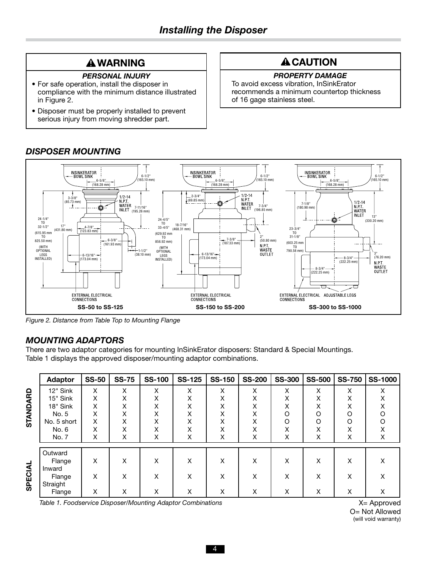# **A WARNING**

#### *PERSONAL INJURY*

- For safe operation, install the disposer in compliance with the minimum distance illustrated in Figure 2.
- Disposer must be properly installed to prevent serious injury from moving shredder part.

# **A CAUTION**

### *PROPERTY DAMAGE*

To avoid excess vibration, InSinkErator recommends a minimum countertop thickness of 16 gage stainless steel.



# *DISPOSER MOUNTING*

*Figure 2. Distance from Table Top to Mounting Flange*

### *MOUNTING ADAPTORS*

There are two adaptor categories for mounting InSinkErator disposers: Standard & Special Mountings. Table 1 displays the approved disposer/mounting adaptor combinations.

|          | <b>Adaptor</b>               | <b>SS-50</b> | <b>SS-75</b> | <b>SS-100</b> | <b>SS-125</b>     | <b>SS-150</b> | <b>SS-200</b> | <b>SS-300</b>     | <b>SS-500</b> | <b>SS-750</b>     | <b>SS-1000</b> |
|----------|------------------------------|--------------|--------------|---------------|-------------------|---------------|---------------|-------------------|---------------|-------------------|----------------|
| STANDARD | 12" Sink                     | X            | X            | X             | X                 | x             | X             | X                 | X             | Χ                 | x              |
|          | 15" Sink                     | X            | X            | Χ             | $\checkmark$<br>⋏ | х             | Χ             | $\checkmark$<br>⋏ | X             | Χ                 |                |
|          | 18" Sink                     | X            | x            | X             | ⋏                 | ⋏             | х             | ⋏                 | Χ             | v<br>⋏            |                |
|          | No. 5                        | X            | Χ            | Χ             |                   | ́             | X             | O                 | O             | O                 |                |
|          | No. 5 short                  | X            | x            | Χ             | Χ                 | X             | x             | O                 | O             | O                 |                |
|          | No. 6                        | Χ            | X            | Χ             | $\checkmark$<br>∧ | х             | Χ             | Χ                 | X             | $\checkmark$<br>∧ |                |
|          | No. 7                        | X            | X            | X             | Χ                 | x             | X             | X                 | X             | Χ                 | х              |
|          | Outward<br>Flange<br>Inward  | X            | X            | X             | X                 | X             | X             | x                 | x             | X                 | х              |
| SPECIAL  | Flange<br>Straight<br>Flange | X<br>X       | X<br>X       | Χ<br>Χ        | x<br>X            | x<br>X        | X<br>X        | Χ<br>X            | X<br>X        | X<br>X            | x<br>x         |

Table 1. Foodservice Disposer/Mounting Adaptor Combinations **X** Approved **X** Approved

O= Not Allowed (will void warranty)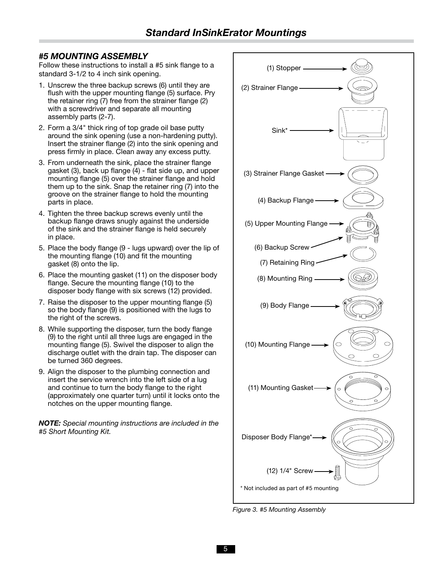### *#5 MOUNTING ASSEMBLY*

Follow these instructions to install a #5 sink flange to a standard 3-1/2 to 4 inch sink opening.

- 1. Unscrew the three backup screws (6) until they are flush with the upper mounting flange (5) surface. Pry the retainer ring (7) free from the strainer flange (2) with a screwdriver and separate all mounting assembly parts (2-7).
- 2. Form a 3/4" thick ring of top grade oil base putty around the sink opening (use a non-hardening putty). Insert the strainer flange (2) into the sink opening and press firmly in place. Clean away any excess putty.
- 3. From underneath the sink, place the strainer flange gasket (3), back up flange (4) - flat side up, and upper mounting flange (5) over the strainer flange and hold them up to the sink. Snap the retainer ring (7) into the groove on the strainer flange to hold the mounting parts in place.
- 4. Tighten the three backup screws evenly until the backup flange draws snugly against the underside of the sink and the strainer flange is held securely in place.
- 5. Place the body flange (9 lugs upward) over the lip of the mounting flange (10) and fit the mounting gasket (8) onto the lip.
- 6. Place the mounting gasket (11) on the disposer body flange. Secure the mounting flange (10) to the disposer body flange with six screws (12) provided.
- 7. Raise the disposer to the upper mounting flange (5) so the body flange (9) is positioned with the lugs to the right of the screws.
- 8. While supporting the disposer, turn the body flange (9) to the right until all three lugs are engaged in the mounting flange (5). Swivel the disposer to align the discharge outlet with the drain tap. The disposer can be turned 360 degrees.
- 9. Align the disposer to the plumbing connection and insert the service wrench into the left side of a lug and continue to turn the body flange to the right (approximately one quarter turn) until it locks onto the notches on the upper mounting flange.

*NOTE: Special mounting instructions are included in the #5 Short Mounting Kit.*



*Figure 3. #5 Mounting Assembly*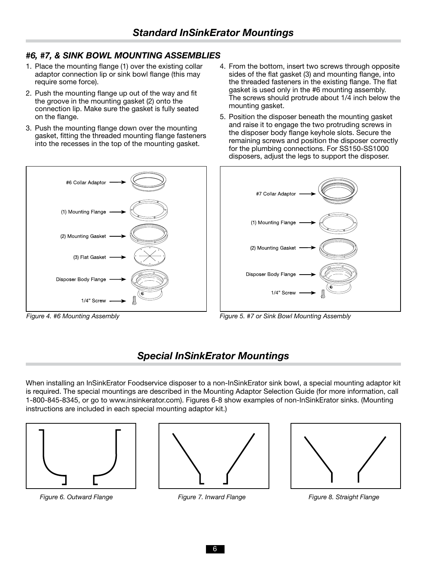### *#6, #7, & SINK BOWL MOUNTING ASSEMBLIES*

- 1. Place the mounting flange (1) over the existing collar adaptor connection lip or sink bowl flange (this may require some force).
- 2. Push the mounting flange up out of the way and fit the groove in the mounting gasket (2) onto the connection lip. Make sure the gasket is fully seated on the flange.
- 3. Push the mounting flange down over the mounting gasket, fitting the threaded mounting flange fasteners into the recesses in the top of the mounting gasket.
- 4. From the bottom, insert two screws through opposite sides of the flat gasket (3) and mounting flange, into the threaded fasteners in the existing flange. The flat gasket is used only in the #6 mounting assembly. The screws should protrude about 1/4 inch below the mounting gasket.
- 5. Position the disposer beneath the mounting gasket and raise it to engage the two protruding screws in the disposer body flange keyhole slots. Secure the remaining screws and position the disposer correctly for the plumbing connections. For SS150-SS1000 disposers, adjust the legs to support the disposer.





*Figure 4. #6 Mounting Assembly Figure 5. #7 or Sink Bowl Mounting Assembly*

# *Special InSinkErator Mountings*

When installing an InSinkErator Foodservice disposer to a non-InSinkErator sink bowl, a special mounting adaptor kit is required. The special mountings are described in the Mounting Adaptor Selection Guide (for more information, call 1-800-845-8345, or go to www.insinkerator.com). Figures 6-8 show examples of non-InSinkErator sinks. (Mounting instructions are included in each special mounting adaptor kit.)



*Figure 6. Outward Flange Figure 7. Inward Flange Figure 8. Straight Flange*

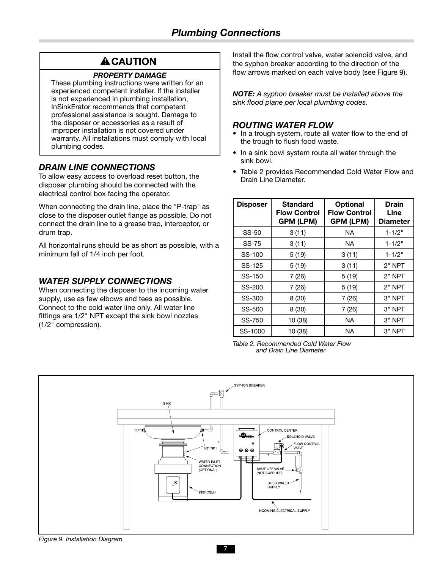# **A CAUTION**

#### *PROPERTY DAMAGE*

These plumbing instructions were written for an experienced competent installer. If the installer is not experienced in plumbing installation, InSinkErator recommends that competent professional assistance is sought. Damage to the disposer or accessories as a result of improper installation is not covered under warranty. All installations must comply with local plumbing codes.

### *DRAIN LINE CONNECTIONS*

To allow easy access to overload reset button, the disposer plumbing should be connected with the electrical control box facing the operator.

When connecting the drain line, place the "P-trap" as close to the disposer outlet flange as possible. Do not connect the drain line to a grease trap, interceptor, or drum trap.

All horizontal runs should be as short as possible, with a minimum fall of 1/4 inch per foot.

### *WATER SUPPLY CONNECTIONS*

When connecting the disposer to the incoming water supply, use as few elbows and tees as possible. Connect to the cold water line only. All water line fittings are 1/2" NPT except the sink bowl nozzles (1/2" compression).

Install the flow control valve, water solenoid valve, and the syphon breaker according to the direction of the flow arrows marked on each valve body (see Figure 9).

*NOTE: A syphon breaker must be installed above the sink flood plane per local plumbing codes.*

### *ROUTING WATER FLOW*

- In a trough system, route all water flow to the end of the trough to flush food waste.
- In a sink bowl system route all water through the sink bowl.
- Table 2 provides Recommended Cold Water Flow and Drain Line Diameter.

| <b>Disposer</b> | <b>Standard</b><br><b>Flow Control</b><br><b>GPM (LPM)</b> | <b>Optional</b><br><b>Flow Control</b><br><b>GPM (LPM)</b> | <b>Drain</b><br>Line<br><b>Diameter</b> |
|-----------------|------------------------------------------------------------|------------------------------------------------------------|-----------------------------------------|
| SS-50           | 3(11)                                                      | NA.                                                        | $1 - 1/2"$                              |
| <b>SS-75</b>    | 3(11)                                                      | NA                                                         | $1 - 1/2"$                              |
| SS-100          | 5(19)                                                      | 3(11)                                                      | $1 - 1/2"$                              |
| SS-125          | 5(19)                                                      | 3(11)                                                      | $2"$ NPT                                |
| SS-150          | 7(26)                                                      | 5(19)                                                      | $2"$ NPT                                |
| SS-200          | 7(26)                                                      | 5(19)                                                      | $2"$ NPT                                |
| SS-300          | 8(30)                                                      | 7(26)                                                      | 3" NPT                                  |
| SS-500          | 8(30)                                                      | 7(26)                                                      | 3" NPT                                  |
| SS-750          | 10 (38)                                                    | <b>NA</b>                                                  | 3" NPT                                  |
| SS-1000         | 10 (38)                                                    | ΝA                                                         | 3" NPT                                  |

*Table 2. Recommended Cold Water Flow and Drain Line Diameter*

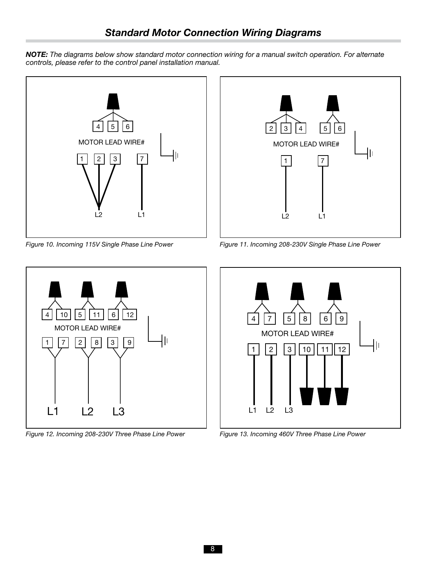





*Figure 12. Incoming 208-230V Three Phase Line Power*

L1 L2 L3

1





*Figure 13. Incoming 460V Three Phase Line Power*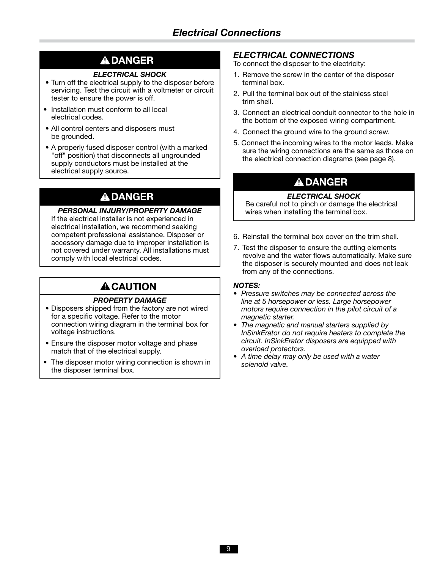# **A DANGER**

#### *ELECTRICAL SHOCK*

- Turn off the electrical supply to the disposer before servicing. Test the circuit with a voltmeter or circuit tester to ensure the power is off.
- Installation must conform to all local electrical codes.
- All control centers and disposers must be grounded.
- A properly fused disposer control (with a marked "off" position) that disconnects all ungrounded supply conductors must be installed at the electrical supply source.

# **A DANGER**

If the electrical installer is not experienced in electrical installation, we recommend seeking competent professional assistance. Disposer or accessory damage due to improper installation is not covered under warranty. All installations must comply with local electrical codes.

# **A CAUTION**

#### *PROPERTY DAMAGE*

- Disposers shipped from the factory are not wired for a specific voltage. Refer to the motor connection wiring diagram in the terminal box for voltage instructions.
- Ensure the disposer motor voltage and phase match that of the electrical supply.
- The disposer motor wiring connection is shown in the disposer terminal box.

### *ELECTRICAL CONNECTIONS*

- To connect the disposer to the electricity:
- 1. Remove the screw in the center of the disposer terminal box.
- 2. Pull the terminal box out of the stainless steel trim shell.
- 3. Connect an electrical conduit connector to the hole in the bottom of the exposed wiring compartment.
- 4. Connect the ground wire to the ground screw.
- 5. Connect the incoming wires to the motor leads. Make sure the wiring connections are the same as those on the electrical connection diagrams (see page 8).

# **A DANGER**

#### *ELECTRICAL SHOCK*

**PERSONAL INJURY/PROPERTY DAMAGE** Be careful not to pinch or damage the electrical **PERSONAL INJURY/PROPERTY DAMAGE** 

- 6. Reinstall the terminal box cover on the trim shell.
- 7. Test the disposer to ensure the cutting elements revolve and the water flows automatically. Make sure the disposer is securely mounted and does not leak from any of the connections.

#### *NOTES:*

- *• Pressure switches may be connected across the line at 5 horsepower or less. Large horsepower motors require connection in the pilot circuit of a magnetic starter.*
- *• The magnetic and manual starters supplied by InSinkErator do not require heaters to complete the circuit. InSinkErator disposers are equipped with overload protectors.*
- *• A time delay may only be used with a water solenoid valve.*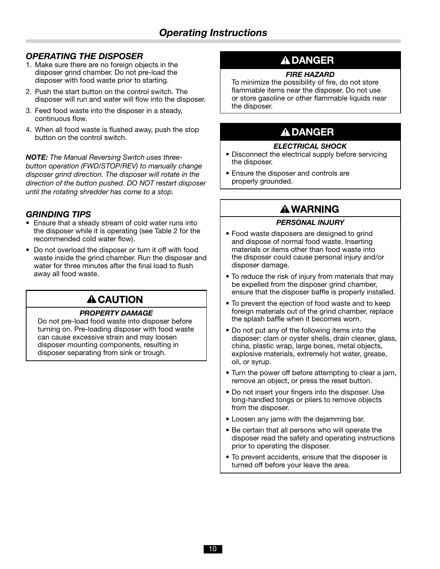### *OPERATING THE DISPOSER*

- 1. Make sure there are no foreign objects in the disposer grind chamber. Do not pre-load the disposer with food waste prior to starting.
- 2. Push the start button on the control switch. The disposer will run and water will flow into the disposer.
- 3. Feed food waste into the disposer in a steady, continuous flow.
- 4. When all food waste is flushed away, push the stop button on the control switch.

*NOTE: The Manual Reversing Switch uses threebutton operation (FWD/STOP/REV) to manually change disposer grind direction. The disposer will rotate in the direction of the button pushed. DO NOT restart disposer until the rotating shredder has come to a stop.*

### *GRINDING TIPS*

- Ensure that a steady stream of cold water runs into the disposer while it is operating (see Table 2 for the recommended cold water flow).
- Do not overload the disposer or turn it off with food waste inside the grind chamber. Run the disposer and water for three minutes after the final load to flush away all food waste.

# **A CAUTION**

#### *PROPERTY DAMAGE*

Do not pre-load food waste into disposer before turning on. Pre-loading disposer with food waste can cause excessive strain and may loosen disposer mounting components, resulting in disposer separating from sink or trough.

# **A DANGER**

#### *FIRE HAZARD*

To minimize the possibility of fire, do not store flammable items near the disposer. Do not use or store gasoline or other flammable liquids near the disposer.

# **A DANGER**

#### *ELECTRICAL SHOCK*

- Disconnect the electrical supply before servicing the disposer.
- Ensure the disposer and controls are properly grounded.

# **A WARNING**

#### *PERSONAL INJURY*

- Food waste disposers are designed to grind and dispose of normal food waste. Inserting materials or items other than food waste into the disposer could cause personal injury and/or disposer damage.
- To reduce the risk of injury from materials that may be expelled from the disposer grind chamber, ensure that the disposer baffle is properly installed.
- To prevent the ejection of food waste and to keep foreign materials out of the grind chamber, replace the splash baffle when it becomes worn.
- Do not put any of the following items into the disposer: clam or oyster shells, drain cleaner, glass, china, plastic wrap, large bones, metal objects, explosive materials, extremely hot water, grease, oil, or syrup.
- Turn the power off before attempting to clear a jam, remove an object, or press the reset button.
- Do not insert your fingers into the disposer. Use long-handled tongs or pliers to remove objects from the disposer.
- Loosen any jams with the dejamming bar.
- Be certain that all persons who will operate the disposer read the safety and operating instructions prior to operating the disposer.
- To prevent accidents, ensure that the disposer is turned off before your leave the area.